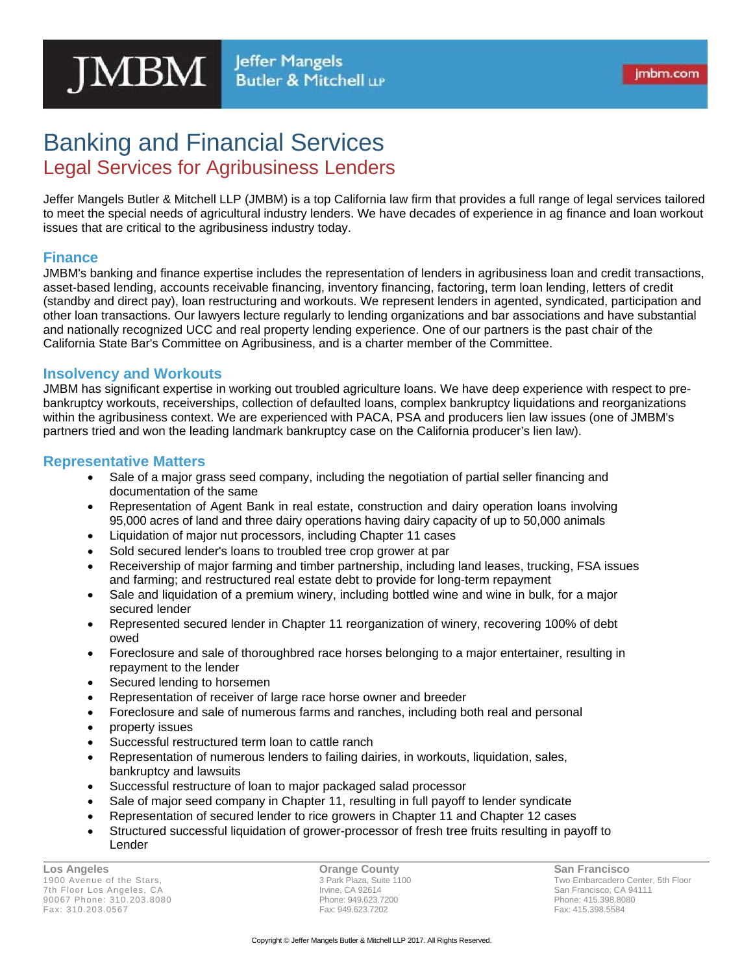# Banking and Financial Services Legal Services for Agribusiness Lenders

Jeffer Mangels Butler & Mitchell LLP (JMBM) is a top California law firm that provides a full range of legal services tailored to meet the special needs of agricultural industry lenders. We have decades of experience in ag finance and loan workout issues that are critical to the agribusiness industry today.

#### **Finance**

JMBM's banking and finance expertise includes the representation of lenders in agribusiness loan and credit transactions, asset-based lending, accounts receivable financing, inventory financing, factoring, term loan lending, letters of credit (standby and direct pay), loan restructuring and workouts. We represent lenders in agented, syndicated, participation and other loan transactions. Our lawyers lecture regularly to lending organizations and bar associations and have substantial and nationally recognized UCC and real property lending experience. One of our partners is the past chair of the California State Bar's Committee on Agribusiness, and is a charter member of the Committee.

## **Insolvency and Workouts**

JMBM has significant expertise in working out troubled agriculture loans. We have deep experience with respect to prebankruptcy workouts, receiverships, collection of defaulted loans, complex bankruptcy liquidations and reorganizations within the agribusiness context. We are experienced with PACA, PSA and producers lien law issues (one of JMBM's partners tried and won the leading landmark bankruptcy case on the California producer's lien law).

## **Representative Matters**

- Sale of a major grass seed company, including the negotiation of partial seller financing and documentation of the same
- Representation of Agent Bank in real estate, construction and dairy operation loans involving 95,000 acres of land and three dairy operations having dairy capacity of up to 50,000 animals
- Liquidation of major nut processors, including Chapter 11 cases
- Sold secured lender's loans to troubled tree crop grower at par
- Receivership of major farming and timber partnership, including land leases, trucking, FSA issues and farming; and restructured real estate debt to provide for long-term repayment
- Sale and liquidation of a premium winery, including bottled wine and wine in bulk, for a major secured lender
- Represented secured lender in Chapter 11 reorganization of winery, recovering 100% of debt owed
- Foreclosure and sale of thoroughbred race horses belonging to a major entertainer, resulting in repayment to the lender
- Secured lending to horsemen
- Representation of receiver of large race horse owner and breeder
- Foreclosure and sale of numerous farms and ranches, including both real and personal
- property issues
- Successful restructured term loan to cattle ranch
- Representation of numerous lenders to failing dairies, in workouts, liquidation, sales, bankruptcy and lawsuits
- Successful restructure of loan to major packaged salad processor
- Sale of major seed company in Chapter 11, resulting in full payoff to lender syndicate
- Representation of secured lender to rice growers in Chapter 11 and Chapter 12 cases
- Structured successful liquidation of grower-processor of fresh tree fruits resulting in payoff to Lender

**Los Angeles**  1900 Avenue of the Stars, 7th Floor Los Angeles, CA 90067 Phone: 310.203.8080 Fax: 310.203.0567

**Orange County**  3 Park Plaza, Suite 1100 Irvine, CA 92614 Phone: 949.623.7200 Fax: 949.623.7202